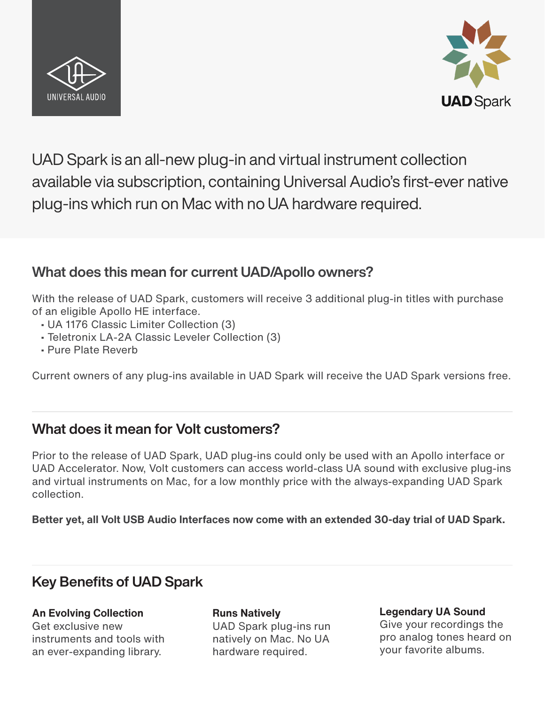



UAD Spark is an all-new plug-in and virtual instrument collection available via subscription, containing Universal Audio's first-ever native plug-ins which run on Mac with no UA hardware required.

## What does this mean for current UAD/Apollo owners?

With the release of UAD Spark, customers will receive 3 additional plug-in titles with purchase of an eligible Apollo HE interface.

- UA 1176 Classic Limiter Collection (3)
- Teletronix LA-2A Classic Leveler Collection (3)
- Pure Plate Reverb

Current owners of any plug-ins available in UAD Spark will receive the UAD Spark versions free.

## What does it mean for Volt customers?

Prior to the release of UAD Spark, UAD plug-ins could only be used with an Apollo interface or UAD Accelerator. Now, Volt customers can access world-class UA sound with exclusive plug-ins and virtual instruments on Mac, for a low monthly price with the always-expanding UAD Spark collection.

**Better yet, all Volt USB Audio Interfaces now come with an extended 30-day trial of UAD Spark.**

## Key Benefits of UAD Spark

**An Evolving Collection** Get exclusive new instruments and tools with an ever-expanding library.

**Runs Natively** UAD Spark plug-ins run natively on Mac. No UA hardware required.

**Legendary UA Sound** Give your recordings the pro analog tones heard on your favorite albums.